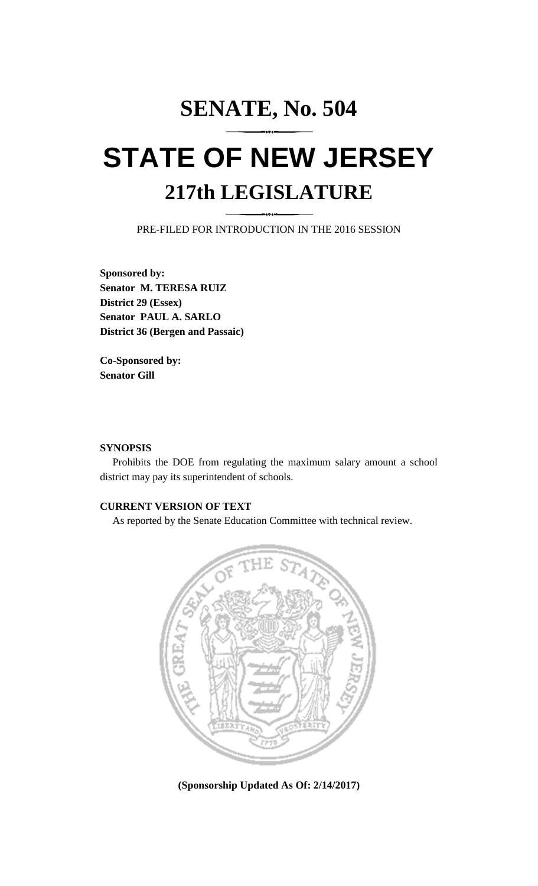## **SENATE, No. 504 STATE OF NEW JERSEY 217th LEGISLATURE**

PRE-FILED FOR INTRODUCTION IN THE 2016 SESSION

**Sponsored by: Senator M. TERESA RUIZ District 29 (Essex) Senator PAUL A. SARLO District 36 (Bergen and Passaic)**

**Co-Sponsored by: Senator Gill**

## **SYNOPSIS**

Prohibits the DOE from regulating the maximum salary amount a school district may pay its superintendent of schools.

## **CURRENT VERSION OF TEXT**

As reported by the Senate Education Committee with technical review.



**(Sponsorship Updated As Of: 2/14/2017)**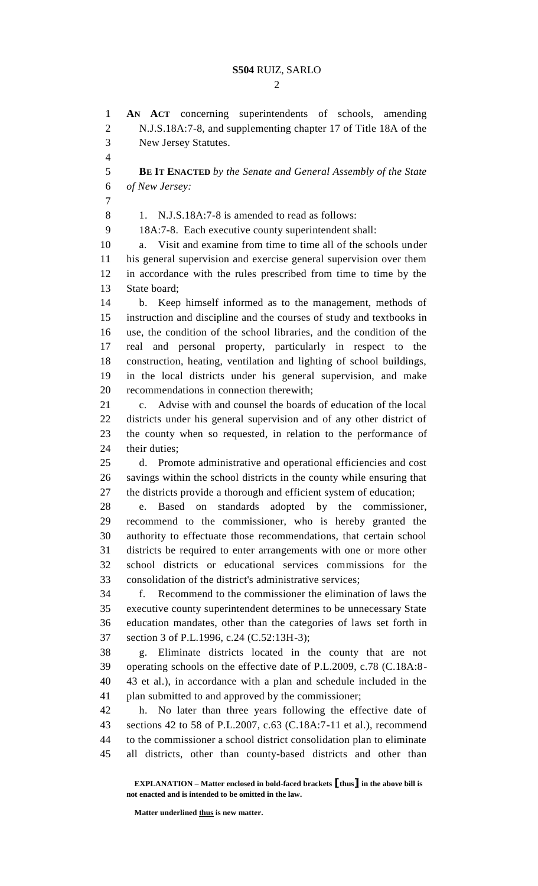$\mathcal{D}_{\mathcal{L}}$ 

 **AN ACT** concerning superintendents of schools, amending N.J.S.18A:7-8, and supplementing chapter 17 of Title 18A of the New Jersey Statutes. **BE IT ENACTED** *by the Senate and General Assembly of the State of New Jersey:* 8 1. N.J.S.18A:7-8 is amended to read as follows: 18A:7-8. Each executive county superintendent shall: a. Visit and examine from time to time all of the schools under his general supervision and exercise general supervision over them in accordance with the rules prescribed from time to time by the State board; b. Keep himself informed as to the management, methods of instruction and discipline and the courses of study and textbooks in use, the condition of the school libraries, and the condition of the real and personal property, particularly in respect to the construction, heating, ventilation and lighting of school buildings, in the local districts under his general supervision, and make recommendations in connection therewith; c. Advise with and counsel the boards of education of the local districts under his general supervision and of any other district of the county when so requested, in relation to the performance of their duties; d. Promote administrative and operational efficiencies and cost savings within the school districts in the county while ensuring that the districts provide a thorough and efficient system of education; e. Based on standards adopted by the commissioner, recommend to the commissioner, who is hereby granted the authority to effectuate those recommendations, that certain school districts be required to enter arrangements with one or more other school districts or educational services commissions for the consolidation of the district's administrative services; f. Recommend to the commissioner the elimination of laws the executive county superintendent determines to be unnecessary State education mandates, other than the categories of laws set forth in section 3 of P.L.1996, c.24 (C.52:13H-3); g. Eliminate districts located in the county that are not operating schools on the effective date of P.L.2009, c.78 (C.18A:8- 43 et al.), in accordance with a plan and schedule included in the plan submitted to and approved by the commissioner; h. No later than three years following the effective date of sections 42 to 58 of P.L.2007, c.63 (C.18A:7-11 et al.), recommend to the commissioner a school district consolidation plan to eliminate all districts, other than county-based districts and other than

**EXPLANATION – Matter enclosed in bold-faced brackets [thus] in the above bill is not enacted and is intended to be omitted in the law.**

**Matter underlined thus is new matter.**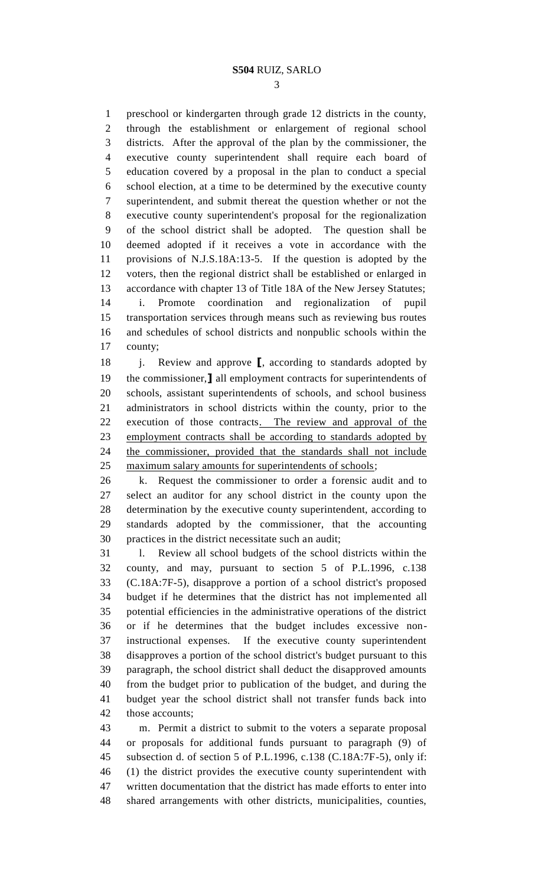preschool or kindergarten through grade 12 districts in the county, through the establishment or enlargement of regional school districts. After the approval of the plan by the commissioner, the executive county superintendent shall require each board of education covered by a proposal in the plan to conduct a special school election, at a time to be determined by the executive county superintendent, and submit thereat the question whether or not the executive county superintendent's proposal for the regionalization of the school district shall be adopted. The question shall be deemed adopted if it receives a vote in accordance with the provisions of N.J.S.18A:13-5. If the question is adopted by the voters, then the regional district shall be established or enlarged in accordance with chapter 13 of Title 18A of the New Jersey Statutes; i. Promote coordination and regionalization of pupil transportation services through means such as reviewing bus routes and schedules of school districts and nonpublic schools within the county;

18 i. Review and approve **[**, according to standards adopted by the commissioner,**]** all employment contracts for superintendents of schools, assistant superintendents of schools, and school business administrators in school districts within the county, prior to the execution of those contracts. The review and approval of the employment contracts shall be according to standards adopted by the commissioner, provided that the standards shall not include maximum salary amounts for superintendents of schools;

 k. Request the commissioner to order a forensic audit and to select an auditor for any school district in the county upon the determination by the executive county superintendent, according to standards adopted by the commissioner, that the accounting practices in the district necessitate such an audit;

 l. Review all school budgets of the school districts within the county, and may, pursuant to section 5 of P.L.1996, c.138 (C.18A:7F-5), disapprove a portion of a school district's proposed budget if he determines that the district has not implemented all potential efficiencies in the administrative operations of the district or if he determines that the budget includes excessive non- instructional expenses. If the executive county superintendent disapproves a portion of the school district's budget pursuant to this paragraph, the school district shall deduct the disapproved amounts from the budget prior to publication of the budget, and during the budget year the school district shall not transfer funds back into those accounts;

 m. Permit a district to submit to the voters a separate proposal or proposals for additional funds pursuant to paragraph (9) of subsection d. of section 5 of P.L.1996, c.138 (C.18A:7F-5), only if: (1) the district provides the executive county superintendent with written documentation that the district has made efforts to enter into shared arrangements with other districts, municipalities, counties,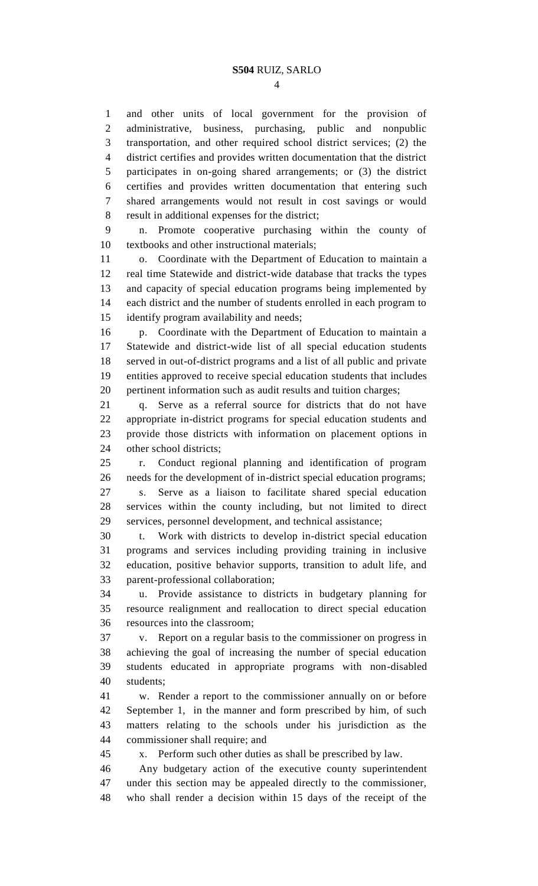and other units of local government for the provision of administrative, business, purchasing, public and nonpublic transportation, and other required school district services; (2) the district certifies and provides written documentation that the district participates in on-going shared arrangements; or (3) the district certifies and provides written documentation that entering such shared arrangements would not result in cost savings or would result in additional expenses for the district;

 n. Promote cooperative purchasing within the county of textbooks and other instructional materials;

 o. Coordinate with the Department of Education to maintain a real time Statewide and district-wide database that tracks the types and capacity of special education programs being implemented by each district and the number of students enrolled in each program to identify program availability and needs;

 p. Coordinate with the Department of Education to maintain a Statewide and district-wide list of all special education students served in out-of-district programs and a list of all public and private entities approved to receive special education students that includes pertinent information such as audit results and tuition charges;

 q. Serve as a referral source for districts that do not have appropriate in-district programs for special education students and provide those districts with information on placement options in other school districts;

 r. Conduct regional planning and identification of program needs for the development of in-district special education programs; s. Serve as a liaison to facilitate shared special education services within the county including, but not limited to direct services, personnel development, and technical assistance;

 t. Work with districts to develop in-district special education programs and services including providing training in inclusive education, positive behavior supports, transition to adult life, and parent-professional collaboration;

 u. Provide assistance to districts in budgetary planning for resource realignment and reallocation to direct special education resources into the classroom;

 v. Report on a regular basis to the commissioner on progress in achieving the goal of increasing the number of special education students educated in appropriate programs with non-disabled students;

 w. Render a report to the commissioner annually on or before September 1, in the manner and form prescribed by him, of such matters relating to the schools under his jurisdiction as the commissioner shall require; and

x. Perform such other duties as shall be prescribed by law.

 Any budgetary action of the executive county superintendent under this section may be appealed directly to the commissioner, who shall render a decision within 15 days of the receipt of the